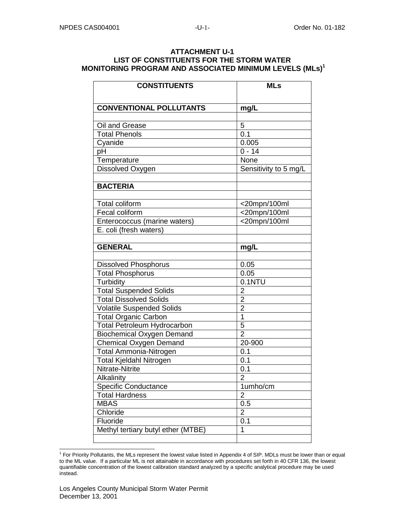## **ATTACHMENT U-1 LIST OF CONSTITUENTS FOR THE STORM WATER MONITORING PROGRAM AND ASSOCIATED MINIMUM LEVELS (MLs)<sup>1</sup>**

| <b>CONSTITUENTS</b>                | <b>MLs</b>            |
|------------------------------------|-----------------------|
|                                    |                       |
| <b>CONVENTIONAL POLLUTANTS</b>     | mg/L                  |
|                                    |                       |
| Oil and Grease                     | 5                     |
| <b>Total Phenols</b>               | 0.1                   |
| Cyanide                            | 0.005                 |
| pH                                 | $0 - 14$              |
| Temperature                        | None                  |
| Dissolved Oxygen                   | Sensitivity to 5 mg/L |
|                                    |                       |
| <b>BACTERIA</b>                    |                       |
|                                    |                       |
| <b>Total coliform</b>              | $<$ 20mpn/100ml       |
| Fecal coliform                     | <20mpn/100ml          |
| Enterococcus (marine waters)       | <20mpn/100ml          |
| E. coli (fresh waters)             |                       |
|                                    |                       |
| <b>GENERAL</b>                     | mg/L                  |
|                                    |                       |
| <b>Dissolved Phosphorus</b>        | 0.05                  |
| <b>Total Phosphorus</b>            | 0.05                  |
| Turbidity                          | 0.1NTU                |
| <b>Total Suspended Solids</b>      | $\mathbf 2$           |
| <b>Total Dissolved Solids</b>      | $\overline{2}$        |
| <b>Volatile Suspended Solids</b>   | $\overline{2}$        |
| <b>Total Organic Carbon</b>        | $\overline{1}$        |
| <b>Total Petroleum Hydrocarbon</b> | 5                     |
| <b>Biochemical Oxygen Demand</b>   | $\overline{2}$        |
| <b>Chemical Oxygen Demand</b>      | 20-900                |
| <b>Total Ammonia-Nitrogen</b>      | 0.1                   |
| <b>Total Kjeldahl Nitrogen</b>     | $\overline{0.1}$      |
| Nitrate-Nitrite                    | 0.1                   |
| Alkalinity                         | $\overline{2}$        |
| Specific Conductance               | 1umho/cm              |
| <b>Total Hardness</b>              | $\overline{2}$        |
| <b>MBAS</b>                        | 0.5                   |
| Chloride                           | $\overline{2}$        |
| Fluoride                           | 0.1                   |
| Methyl tertiary butyl ether (MTBE) | 1                     |
|                                    |                       |

 1 For Priority Pollutants, the MLs represent the lowest value listed in Appendix 4 of SIP. MDLs must be lower than or equal to the ML value. If a particular ML is not attainable in accordance with procedures set forth in 40 CFR 136, the lowest quantifiable concentration of the lowest calibration standard analyzed by a specific analytical procedure may be used instead.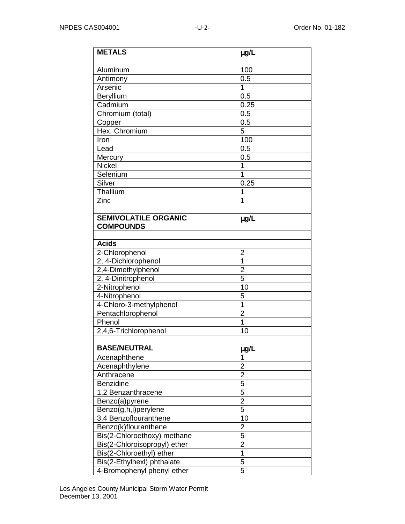| <b>METALS</b>                | $\mu$ g/L               |
|------------------------------|-------------------------|
|                              |                         |
| Aluminum                     | 100                     |
| Antimony                     | 0.5                     |
| Arsenic                      | 1                       |
| Beryllium                    | 0.5                     |
| Cadmium                      | 0.25                    |
| Chromium (total)             | 0.5                     |
| Copper                       | 0.5                     |
| Hex. Chromium                | 5                       |
| Iron                         | 100                     |
| Lead                         | 0.5                     |
| Mercury                      | 0.5                     |
| <b>Nickel</b>                | 1                       |
| Selenium                     | 1                       |
| Silver                       | 0.25                    |
| Thallium                     | 1                       |
| Zinc                         | 1                       |
|                              |                         |
| <b>SEMIVOLATILE ORGANIC</b>  | $\mu$ g/L               |
| <b>COMPOUNDS</b>             |                         |
|                              |                         |
| <b>Acids</b>                 |                         |
| 2-Chlorophenol               | $\overline{2}$          |
| 2, 4-Dichlorophenol          | 1                       |
| 2,4-Dimethylphenol           | $\overline{2}$          |
| 2, 4-Dinitrophenol           | 5                       |
| 2-Nitrophenol                | 10                      |
| 4-Nitrophenol                | 5                       |
| 4-Chloro-3-methylphenol      | $\overline{1}$          |
| Pentachlorophenol            | $\overline{2}$          |
| Phenol                       | 1                       |
| 2,4,6-Trichlorophenol        | 10                      |
|                              |                         |
| <b>BASE/NEUTRAL</b>          | ug/L                    |
| Acenaphthene                 | 1                       |
| Acenaphthylene               | $\overline{2}$          |
| Anthracene                   | $\overline{c}$          |
| Benzidine                    | $\overline{5}$          |
| 1,2 Benzanthracene           | 5                       |
| Benzo(a)pyrene               | $\overline{2}$          |
| Benzo(g,h,i)perylene         | 5                       |
| 3,4 Benzoflouranthene        | 10                      |
| Benzo(k)flouranthene         | $\overline{\mathbf{c}}$ |
| Bis(2-Chloroethoxy) methane  | $\overline{5}$          |
| Bis(2-Chloroisopropyl) ether | $\overline{2}$          |
| Bis(2-Chloroethyl) ether     | 1                       |
| Bis(2-Ethylhexl) phthalate   | 5                       |
| 4-Bromophenyl phenyl ether   | 5                       |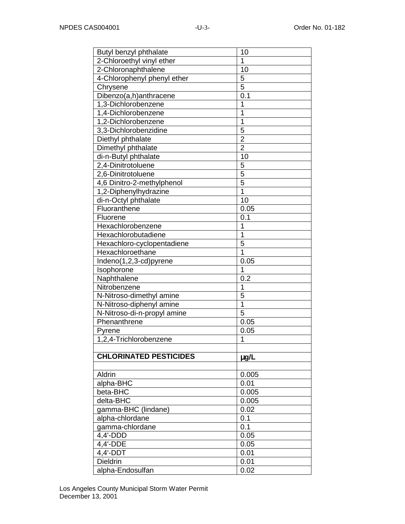| 10             |
|----------------|
| 1              |
| 10             |
| 5              |
| 5              |
| 0.1            |
| 1              |
| 1              |
| 1              |
| 5              |
| $\overline{c}$ |
| $\overline{2}$ |
| 10             |
| 5              |
| $\overline{5}$ |
| 5              |
| $\overline{1}$ |
| 10             |
| 0.05           |
| 0.1            |
| 1              |
| 1              |
| 5              |
| 1              |
| 0.05           |
| 1              |
| 0.2            |
| 1              |
| 5              |
| $\overline{1}$ |
| 5              |
| 0.05           |
| 0.05           |
| 1              |
|                |
| $\mu$ g/L      |
|                |
| 0.005          |
| 0.01           |
| 0.005          |
| 0.005          |
| 0.02           |
| 0.1            |
| 0.1            |
| 0.05           |
| 0.05           |
| 0.01           |
| 0.01           |
| 0.02           |
|                |